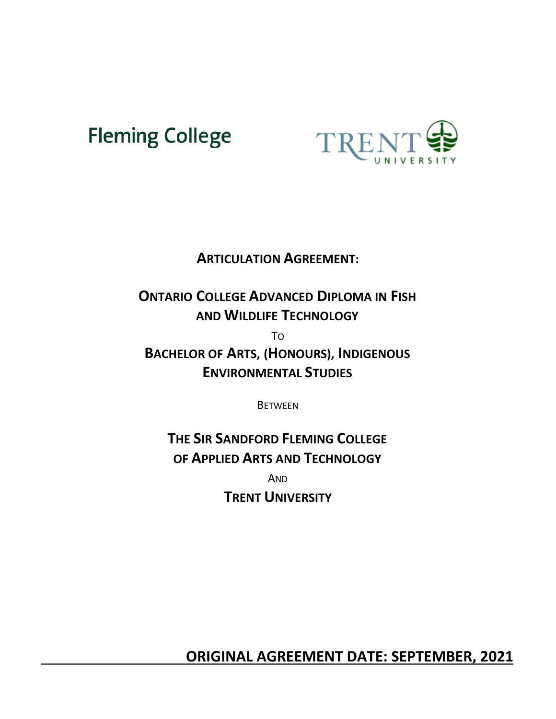# **Fleming College**



# **ARTICULATION AGREEMENT:**

# **ONTARIO COLLEGE ADVANCED DIPLOMA IN FISH AND WILDLIFE TECHNOLOGY**

TO

**BACHELOR OF ARTS, (HONOURS), INDIGENOUS ENVIRONMENTAL STUDIES**

**BETWEEN** 

**THE SIR SANDFORD FLEMING COLLEGE OF APPLIED ARTS AND TECHNOLOGY**

AND **TRENT UNIVERSITY**

 **ORIGINAL AGREEMENT DATE: SEPTEMBER, 2021**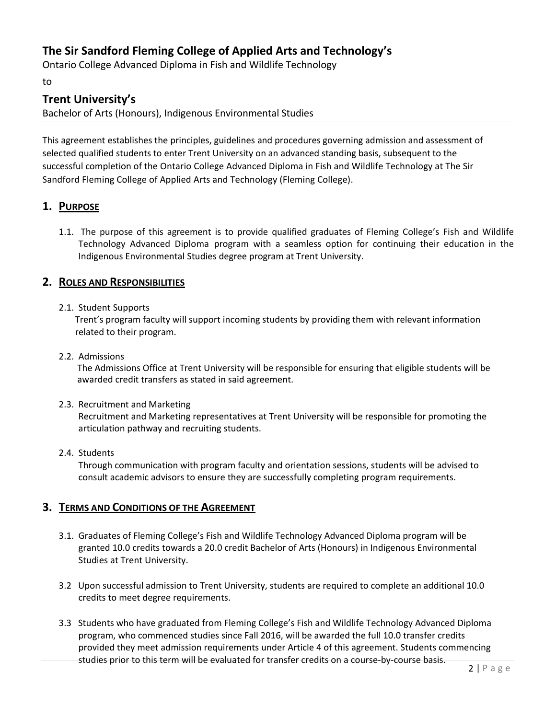# **The Sir Sandford Fleming College of Applied Arts and Technology's**

Ontario College Advanced Diploma in Fish and Wildlife Technology

to

# **Trent University's**

Bachelor of Arts (Honours), Indigenous Environmental Studies

This agreement establishes the principles, guidelines and procedures governing admission and assessment of selected qualified students to enter Trent University on an advanced standing basis, subsequent to the successful completion of the Ontario College Advanced Diploma in Fish and Wildlife Technology at The Sir Sandford Fleming College of Applied Arts and Technology (Fleming College).

# **1. PURPOSE**

1.1. The purpose of this agreement is to provide qualified graduates of Fleming College's Fish and Wildlife Technology Advanced Diploma program with a seamless option for continuing their education in the Indigenous Environmental Studies degree program at Trent University.

## **2. ROLES AND RESPONSIBILITIES**

#### 2.1. Student Supports

Trent's program faculty will support incoming students by providing them with relevant information related to their program.

#### 2.2. Admissions

The Admissions Office at Trent University will be responsible for ensuring that eligible students will be awarded credit transfers as stated in said agreement.

#### 2.3. Recruitment and Marketing

Recruitment and Marketing representatives at Trent University will be responsible for promoting the articulation pathway and recruiting students.

#### 2.4. Students

Through communication with program faculty and orientation sessions, students will be advised to consult academic advisors to ensure they are successfully completing program requirements.

## **3. TERMS AND CONDITIONS OF THE AGREEMENT**

- 3.1. Graduates of Fleming College's Fish and Wildlife Technology Advanced Diploma program will be granted 10.0 credits towards a 20.0 credit Bachelor of Arts (Honours) in Indigenous Environmental Studies at Trent University.
- 3.2 Upon successful admission to Trent University, students are required to complete an additional 10.0 credits to meet degree requirements.
- 3.3 Students who have graduated from Fleming College's Fish and Wildlife Technology Advanced Diploma program, who commenced studies since Fall 2016, will be awarded the full 10.0 transfer credits provided they meet admission requirements under Article 4 of this agreement. Students commencing studies prior to this term will be evaluated for transfer credits on a course-by-course basis.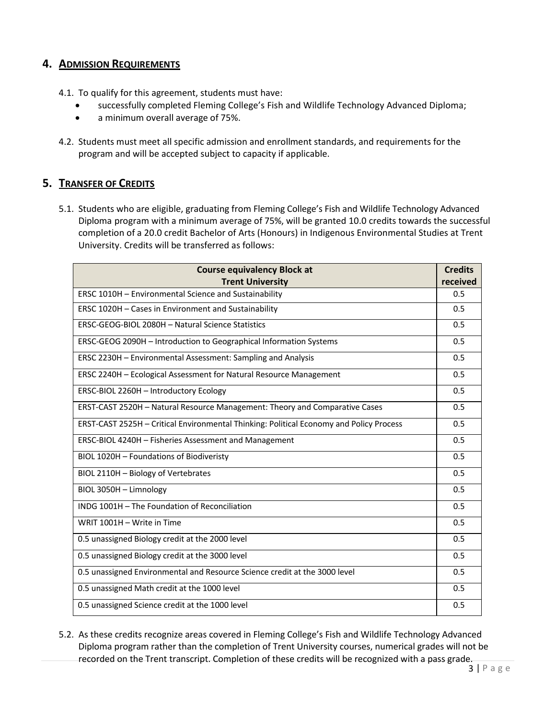## **4. ADMISSION REQUIREMENTS**

- 4.1. To qualify for this agreement, students must have:
	- successfully completed Fleming College's Fish and Wildlife Technology Advanced Diploma;
	- a minimum overall average of 75%.
- 4.2. Students must meet all specific admission and enrollment standards, and requirements for the program and will be accepted subject to capacity if applicable.

# **5. TRANSFER OF CREDITS**

5.1. Students who are eligible, graduating from Fleming College's Fish and Wildlife Technology Advanced Diploma program with a minimum average of 75%, will be granted 10.0 credits towards the successful completion of a 20.0 credit Bachelor of Arts (Honours) in Indigenous Environmental Studies at Trent University. Credits will be transferred as follows:

| <b>Course equivalency Block at</b>                                                      | <b>Credits</b> |
|-----------------------------------------------------------------------------------------|----------------|
| <b>Trent University</b>                                                                 | received       |
| ERSC 1010H - Environmental Science and Sustainability                                   | 0.5            |
| ERSC 1020H - Cases in Environment and Sustainability                                    | 0.5            |
| ERSC-GEOG-BIOL 2080H - Natural Science Statistics                                       | 0.5            |
| ERSC-GEOG 2090H - Introduction to Geographical Information Systems                      | 0.5            |
| ERSC 2230H - Environmental Assessment: Sampling and Analysis                            | 0.5            |
| ERSC 2240H - Ecological Assessment for Natural Resource Management                      | 0.5            |
| ERSC-BIOL 2260H - Introductory Ecology                                                  | 0.5            |
| ERST-CAST 2520H - Natural Resource Management: Theory and Comparative Cases             | 0.5            |
| ERST-CAST 2525H - Critical Environmental Thinking: Political Economy and Policy Process | 0.5            |
| ERSC-BIOL 4240H - Fisheries Assessment and Management                                   | 0.5            |
| BIOL 1020H - Foundations of Biodiveristy                                                | 0.5            |
| BIOL 2110H - Biology of Vertebrates                                                     | 0.5            |
| BIOL 3050H - Limnology                                                                  | 0.5            |
| INDG 1001H - The Foundation of Reconciliation                                           | 0.5            |
| WRIT 1001H - Write in Time                                                              | 0.5            |
| 0.5 unassigned Biology credit at the 2000 level                                         | 0.5            |
| 0.5 unassigned Biology credit at the 3000 level                                         | 0.5            |
| 0.5 unassigned Environmental and Resource Science credit at the 3000 level              | 0.5            |
| 0.5 unassigned Math credit at the 1000 level                                            | 0.5            |
| 0.5 unassigned Science credit at the 1000 level                                         | 0.5            |

5.2. As these credits recognize areas covered in Fleming College's Fish and Wildlife Technology Advanced Diploma program rather than the completion of Trent University courses, numerical grades will not be recorded on the Trent transcript. Completion of these credits will be recognized with a pass grade.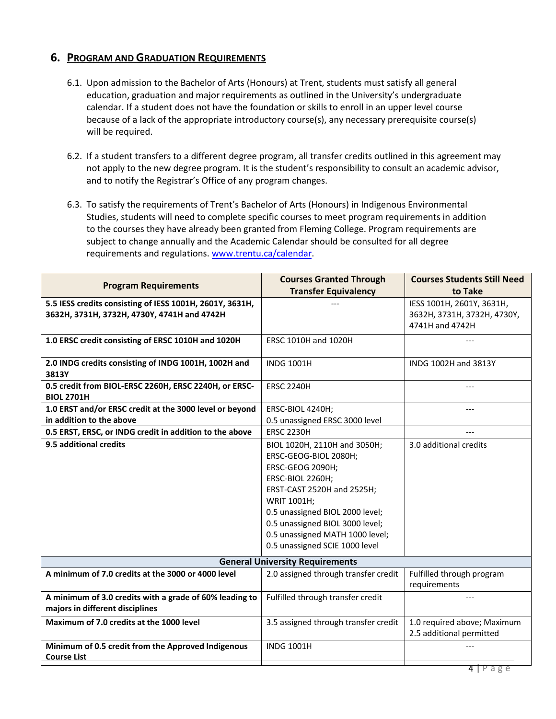#### **6. PROGRAM AND GRADUATION REQUIREMENTS**

- 6.1. Upon admission to the Bachelor of Arts (Honours) at Trent, students must satisfy all general education, graduation and major requirements as outlined in the University's undergraduate calendar. If a student does not have the foundation or skills to enroll in an upper level course because of a lack of the appropriate introductory course(s), any necessary prerequisite course(s) will be required.
- 6.2. If a student transfers to a different degree program, all transfer credits outlined in this agreement may not apply to the new degree program. It is the student's responsibility to consult an academic advisor, and to notify the Registrar's Office of any program changes.
- 6.3. To satisfy the requirements of Trent's Bachelor of Arts (Honours) in Indigenous Environmental Studies, students will need to complete specific courses to meet program requirements in addition to the courses they have already been granted from Fleming College. Program requirements are subject to change annually and the Academic Calendar should be consulted for all degree requirements and regulations. [www.trentu.ca/calendar.](http://www.trentu.ca/calendar)

| <b>Program Requirements</b>                                                                | <b>Courses Granted Through</b>       | <b>Courses Students Still Need</b>                      |  |
|--------------------------------------------------------------------------------------------|--------------------------------------|---------------------------------------------------------|--|
|                                                                                            | <b>Transfer Equivalency</b>          | to Take                                                 |  |
| 5.5 IESS credits consisting of IESS 1001H, 2601Y, 3631H,                                   |                                      | IESS 1001H, 2601Y, 3631H,                               |  |
| 3632H, 3731H, 3732H, 4730Y, 4741H and 4742H                                                |                                      | 3632H, 3731H, 3732H, 4730Y,                             |  |
|                                                                                            |                                      | 4741H and 4742H                                         |  |
| 1.0 ERSC credit consisting of ERSC 1010H and 1020H                                         | <b>ERSC 1010H and 1020H</b>          |                                                         |  |
| 2.0 INDG credits consisting of INDG 1001H, 1002H and                                       | <b>INDG 1001H</b>                    | INDG 1002H and 3813Y                                    |  |
| 3813Y                                                                                      |                                      |                                                         |  |
| 0.5 credit from BIOL-ERSC 2260H, ERSC 2240H, or ERSC-                                      | <b>ERSC 2240H</b>                    |                                                         |  |
| <b>BIOL 2701H</b>                                                                          |                                      |                                                         |  |
| 1.0 ERST and/or ERSC credit at the 3000 level or beyond                                    | ERSC-BIOL 4240H;                     | ---                                                     |  |
| in addition to the above                                                                   | 0.5 unassigned ERSC 3000 level       |                                                         |  |
| 0.5 ERST, ERSC, or INDG credit in addition to the above                                    | <b>ERSC 2230H</b>                    |                                                         |  |
| 9.5 additional credits                                                                     | BIOL 1020H, 2110H and 3050H;         | 3.0 additional credits                                  |  |
|                                                                                            | ERSC-GEOG-BIOL 2080H;                |                                                         |  |
|                                                                                            | ERSC-GEOG 2090H;                     |                                                         |  |
|                                                                                            | ERSC-BIOL 2260H;                     |                                                         |  |
|                                                                                            | ERST-CAST 2520H and 2525H;           |                                                         |  |
|                                                                                            | WRIT 1001H;                          |                                                         |  |
|                                                                                            | 0.5 unassigned BIOL 2000 level;      |                                                         |  |
|                                                                                            | 0.5 unassigned BIOL 3000 level;      |                                                         |  |
|                                                                                            | 0.5 unassigned MATH 1000 level;      |                                                         |  |
|                                                                                            | 0.5 unassigned SCIE 1000 level       |                                                         |  |
| <b>General University Requirements</b>                                                     |                                      |                                                         |  |
| A minimum of 7.0 credits at the 3000 or 4000 level                                         | 2.0 assigned through transfer credit | Fulfilled through program                               |  |
|                                                                                            |                                      | requirements                                            |  |
| A minimum of 3.0 credits with a grade of 60% leading to<br>majors in different disciplines | Fulfilled through transfer credit    | $---$                                                   |  |
|                                                                                            |                                      |                                                         |  |
| Maximum of 7.0 credits at the 1000 level                                                   | 3.5 assigned through transfer credit | 1.0 required above; Maximum<br>2.5 additional permitted |  |
| Minimum of 0.5 credit from the Approved Indigenous                                         | <b>INDG 1001H</b>                    |                                                         |  |
| <b>Course List</b>                                                                         |                                      |                                                         |  |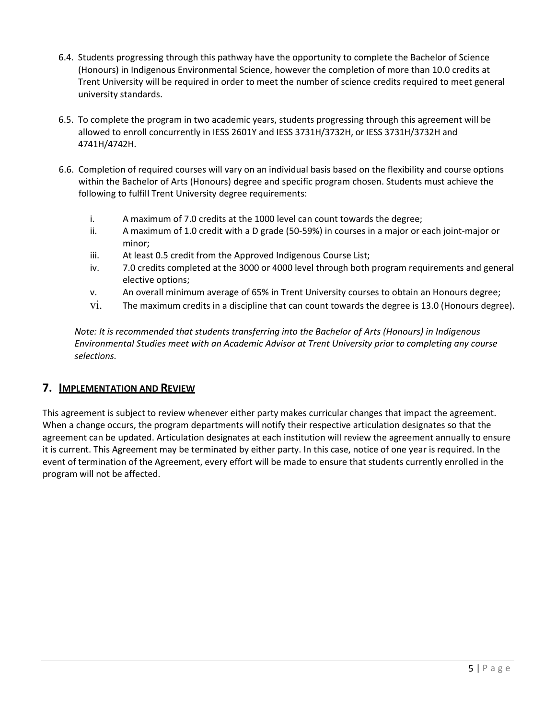- 6.4. Students progressing through this pathway have the opportunity to complete the Bachelor of Science (Honours) in Indigenous Environmental Science, however the completion of more than 10.0 credits at Trent University will be required in order to meet the number of science credits required to meet general university standards.
- 6.5. To complete the program in two academic years, students progressing through this agreement will be allowed to enroll concurrently in IESS 2601Y and IESS 3731H/3732H, or IESS 3731H/3732H and 4741H/4742H.
- 6.6. Completion of required courses will vary on an individual basis based on the flexibility and course options within the Bachelor of Arts (Honours) degree and specific program chosen. Students must achieve the following to fulfill Trent University degree requirements:
	- i. A maximum of 7.0 credits at the 1000 level can count towards the degree;
	- ii. A maximum of 1.0 credit with a D grade (50-59%) in courses in a major or each joint-major or minor;
	- iii. At least 0.5 credit from the Approved Indigenous Course List;
	- iv. 7.0 credits completed at the 3000 or 4000 level through both program requirements and general elective options;
	- v. An overall minimum average of 65% in Trent University courses to obtain an Honours degree;
	- vi. The maximum credits in a discipline that can count towards the degree is 13.0 (Honours degree).

*Note: It is recommended that students transferring into the Bachelor of Arts (Honours) in Indigenous Environmental Studies meet with an Academic Advisor at Trent University prior to completing any course selections.*

#### **7. IMPLEMENTATION AND REVIEW**

This agreement is subject to review whenever either party makes curricular changes that impact the agreement. When a change occurs, the program departments will notify their respective articulation designates so that the agreement can be updated. Articulation designates at each institution will review the agreement annually to ensure it is current. This Agreement may be terminated by either party. In this case, notice of one year is required. In the event of termination of the Agreement, every effort will be made to ensure that students currently enrolled in the program will not be affected.